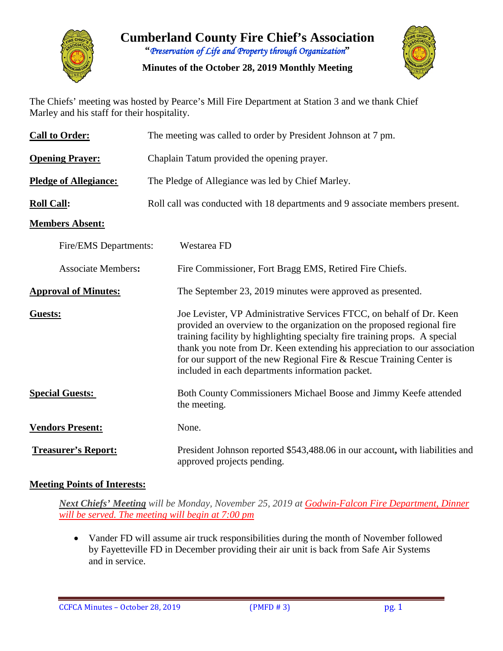

**Cumberland County Fire Chief's Association "***Preservation of Life and Property through Organization***"**

**Minutes of the October 28, 2019 Monthly Meeting**



The Chiefs' meeting was hosted by Pearce's Mill Fire Department at Station 3 and we thank Chief Marley and his staff for their hospitality.

| <b>Call to Order:</b>        | The meeting was called to order by President Johnson at 7 pm.                                                                                                                                                                                                                                                                                                                                                                          |  |  |  |  |  |  |
|------------------------------|----------------------------------------------------------------------------------------------------------------------------------------------------------------------------------------------------------------------------------------------------------------------------------------------------------------------------------------------------------------------------------------------------------------------------------------|--|--|--|--|--|--|
| <b>Opening Prayer:</b>       | Chaplain Tatum provided the opening prayer.                                                                                                                                                                                                                                                                                                                                                                                            |  |  |  |  |  |  |
| <b>Pledge of Allegiance:</b> | The Pledge of Allegiance was led by Chief Marley.                                                                                                                                                                                                                                                                                                                                                                                      |  |  |  |  |  |  |
| <b>Roll Call:</b>            | Roll call was conducted with 18 departments and 9 associate members present.                                                                                                                                                                                                                                                                                                                                                           |  |  |  |  |  |  |
| <b>Members Absent:</b>       |                                                                                                                                                                                                                                                                                                                                                                                                                                        |  |  |  |  |  |  |
| Fire/EMS Departments:        | Westarea FD                                                                                                                                                                                                                                                                                                                                                                                                                            |  |  |  |  |  |  |
| <b>Associate Members:</b>    | Fire Commissioner, Fort Bragg EMS, Retired Fire Chiefs.                                                                                                                                                                                                                                                                                                                                                                                |  |  |  |  |  |  |
| <b>Approval of Minutes:</b>  | The September 23, 2019 minutes were approved as presented.                                                                                                                                                                                                                                                                                                                                                                             |  |  |  |  |  |  |
| <b>Guests:</b>               | Joe Levister, VP Administrative Services FTCC, on behalf of Dr. Keen<br>provided an overview to the organization on the proposed regional fire<br>training facility by highlighting specialty fire training props. A special<br>thank you note from Dr. Keen extending his appreciation to our association<br>for our support of the new Regional Fire & Rescue Training Center is<br>included in each departments information packet. |  |  |  |  |  |  |
| <b>Special Guests:</b>       | Both County Commissioners Michael Boose and Jimmy Keefe attended<br>the meeting.                                                                                                                                                                                                                                                                                                                                                       |  |  |  |  |  |  |
| <b>Vendors Present:</b>      | None.                                                                                                                                                                                                                                                                                                                                                                                                                                  |  |  |  |  |  |  |
| <b>Treasurer's Report:</b>   | President Johnson reported \$543,488.06 in our account, with liabilities and<br>approved projects pending.                                                                                                                                                                                                                                                                                                                             |  |  |  |  |  |  |

#### **Meeting Points of Interests:**

*Next Chiefs' Meeting will be Monday, November 25, 2019 at Godwin-Falcon Fire Department, Dinner will be served. The meeting will begin at 7:00 pm*

• Vander FD will assume air truck responsibilities during the month of November followed by Fayetteville FD in December providing their air unit is back from Safe Air Systems and in service.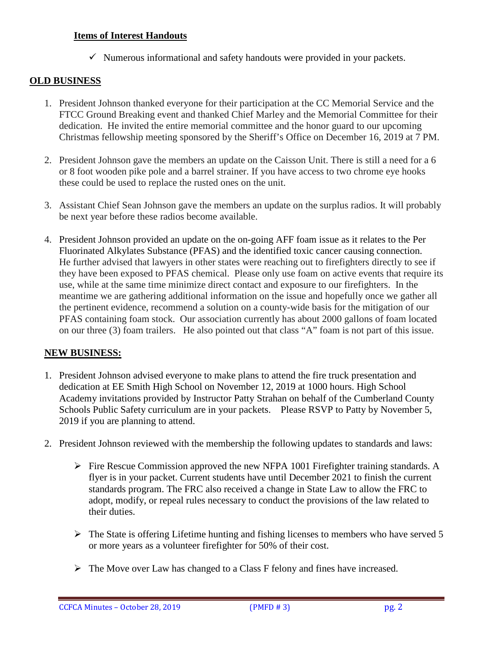#### **Items of Interest Handouts**

 $\checkmark$  Numerous informational and safety handouts were provided in your packets.

#### **OLD BUSINESS**

- 1. President Johnson thanked everyone for their participation at the CC Memorial Service and the FTCC Ground Breaking event and thanked Chief Marley and the Memorial Committee for their dedication. He invited the entire memorial committee and the honor guard to our upcoming Christmas fellowship meeting sponsored by the Sheriff's Office on December 16, 2019 at 7 PM.
- 2. President Johnson gave the members an update on the Caisson Unit. There is still a need for a 6 or 8 foot wooden pike pole and a barrel strainer. If you have access to two chrome eye hooks these could be used to replace the rusted ones on the unit.
- 3. Assistant Chief Sean Johnson gave the members an update on the surplus radios. It will probably be next year before these radios become available.
- 4. President Johnson provided an update on the on-going AFF foam issue as it relates to the Per Fluorinated Alkylates Substance (PFAS) and the identified toxic cancer causing connection. He further advised that lawyers in other states were reaching out to firefighters directly to see if they have been exposed to PFAS chemical. Please only use foam on active events that require its use, while at the same time minimize direct contact and exposure to our firefighters. In the meantime we are gathering additional information on the issue and hopefully once we gather all the pertinent evidence, recommend a solution on a county-wide basis for the mitigation of our PFAS containing foam stock. Our association currently has about 2000 gallons of foam located on our three (3) foam trailers. He also pointed out that class "A" foam is not part of this issue.

#### **NEW BUSINESS:**

- 1. President Johnson advised everyone to make plans to attend the fire truck presentation and dedication at EE Smith High School on November 12, 2019 at 1000 hours. High School Academy invitations provided by Instructor Patty Strahan on behalf of the Cumberland County Schools Public Safety curriculum are in your packets. Please RSVP to Patty by November 5, 2019 if you are planning to attend.
- 2. President Johnson reviewed with the membership the following updates to standards and laws:
	- $\triangleright$  Fire Rescue Commission approved the new NFPA 1001 Firefighter training standards. A flyer is in your packet. Current students have until December 2021 to finish the current standards program. The FRC also received a change in State Law to allow the FRC to adopt, modify, or repeal rules necessary to conduct the provisions of the law related to their duties.
	- $\triangleright$  The State is offering Lifetime hunting and fishing licenses to members who have served 5 or more years as a volunteer firefighter for 50% of their cost.
	- $\triangleright$  The Move over Law has changed to a Class F felony and fines have increased.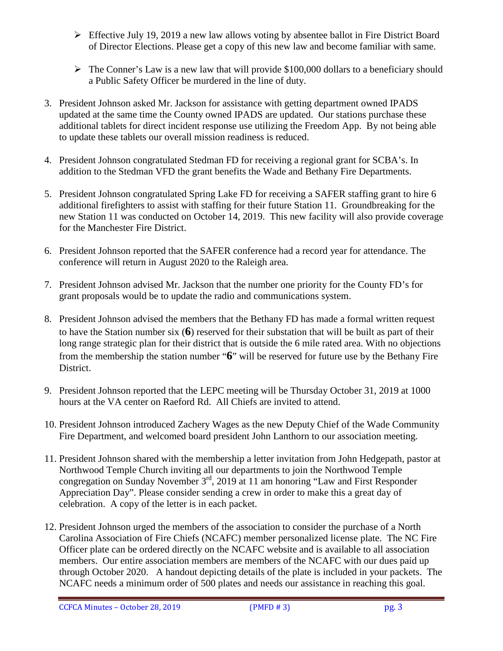- $\triangleright$  Effective July 19, 2019 a new law allows voting by absentee ballot in Fire District Board of Director Elections. Please get a copy of this new law and become familiar with same.
- $\triangleright$  The Conner's Law is a new law that will provide \$100,000 dollars to a beneficiary should a Public Safety Officer be murdered in the line of duty.
- 3. President Johnson asked Mr. Jackson for assistance with getting department owned IPADS updated at the same time the County owned IPADS are updated. Our stations purchase these additional tablets for direct incident response use utilizing the Freedom App. By not being able to update these tablets our overall mission readiness is reduced.
- 4. President Johnson congratulated Stedman FD for receiving a regional grant for SCBA's. In addition to the Stedman VFD the grant benefits the Wade and Bethany Fire Departments.
- 5. President Johnson congratulated Spring Lake FD for receiving a SAFER staffing grant to hire 6 additional firefighters to assist with staffing for their future Station 11. Groundbreaking for the new Station 11 was conducted on October 14, 2019. This new facility will also provide coverage for the Manchester Fire District.
- 6. President Johnson reported that the SAFER conference had a record year for attendance. The conference will return in August 2020 to the Raleigh area.
- 7. President Johnson advised Mr. Jackson that the number one priority for the County FD's for grant proposals would be to update the radio and communications system.
- 8. President Johnson advised the members that the Bethany FD has made a formal written request to have the Station number six (**6**) reserved for their substation that will be built as part of their long range strategic plan for their district that is outside the 6 mile rated area. With no objections from the membership the station number "**6**" will be reserved for future use by the Bethany Fire District.
- 9. President Johnson reported that the LEPC meeting will be Thursday October 31, 2019 at 1000 hours at the VA center on Raeford Rd. All Chiefs are invited to attend.
- 10. President Johnson introduced Zachery Wages as the new Deputy Chief of the Wade Community Fire Department, and welcomed board president John Lanthorn to our association meeting.
- 11. President Johnson shared with the membership a letter invitation from John Hedgepath, pastor at Northwood Temple Church inviting all our departments to join the Northwood Temple congregation on Sunday November 3rd, 2019 at 11 am honoring "Law and First Responder Appreciation Day". Please consider sending a crew in order to make this a great day of celebration. A copy of the letter is in each packet.
- 12. President Johnson urged the members of the association to consider the purchase of a North Carolina Association of Fire Chiefs (NCAFC) member personalized license plate. The NC Fire Officer plate can be ordered directly on the NCAFC website and is available to all association members. Our entire association members are members of the NCAFC with our dues paid up through October 2020. A handout depicting details of the plate is included in your packets. The NCAFC needs a minimum order of 500 plates and needs our assistance in reaching this goal.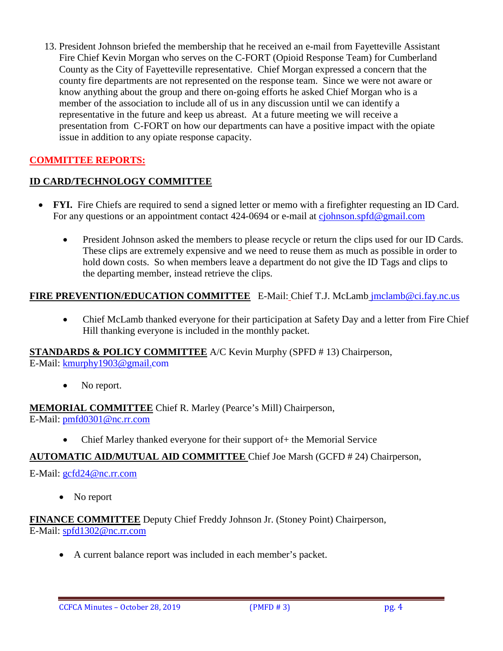13. President Johnson briefed the membership that he received an e-mail from Fayetteville Assistant Fire Chief Kevin Morgan who serves on the C-FORT (Opioid Response Team) for Cumberland County as the City of Fayetteville representative. Chief Morgan expressed a concern that the county fire departments are not represented on the response team. Since we were not aware or know anything about the group and there on-going efforts he asked Chief Morgan who is a member of the association to include all of us in any discussion until we can identify a representative in the future and keep us abreast. At a future meeting we will receive a presentation from C-FORT on how our departments can have a positive impact with the opiate issue in addition to any opiate response capacity.

#### **COMMITTEE REPORTS:**

#### **ID CARD/TECHNOLOGY COMMITTEE**

- **FYI.** Fire Chiefs are required to send a signed letter or memo with a firefighter requesting an ID Card. For any questions or an appointment contact 424-0694 or e-mail at [cjohnson.spfd@gmail.com](mailto:cjohnson.spfd@gmail.com)
	- President Johnson asked the members to please recycle or return the clips used for our ID Cards. These clips are extremely expensive and we need to reuse them as much as possible in order to hold down costs. So when members leave a department do not give the ID Tags and clips to the departing member, instead retrieve the clips.

#### **FIRE PREVENTION/EDUCATION COMMITTEE** E-Mail: Chief T.J. McLamb [jmclamb@ci.fay.nc.us](mailto:jmclamb@ci.fay.nc.us)

• Chief McLamb thanked everyone for their participation at Safety Day and a letter from Fire Chief Hill thanking everyone is included in the monthly packet.

**STANDARDS & POLICY COMMITTEE** A/C Kevin Murphy (SPFD # 13) Chairperson, E-Mail: [kmurphy1903@gmail.com](mailto:kmurphy1903@gmail.com)

• No report.

**MEMORIAL COMMITTEE** Chief R. Marley (Pearce's Mill) Chairperson, E-Mail: [pmfd0301@nc.rr.com](mailto:pmfd0301@nc.rr.com)

• Chief Marley thanked everyone for their support of + the Memorial Service

#### **AUTOMATIC AID/MUTUAL AID COMMITTEE** Chief Joe Marsh (GCFD # 24) Chairperson,

#### E-Mail: [gcfd24@nc.rr.com](mailto:gcfd24@nc.rr.com)

• No report

**FINANCE COMMITTEE** Deputy Chief Freddy Johnson Jr. (Stoney Point) Chairperson, E-Mail: [spfd1302@nc.rr.com](mailto:spfd1302@nc.rr.com)

• A current balance report was included in each member's packet.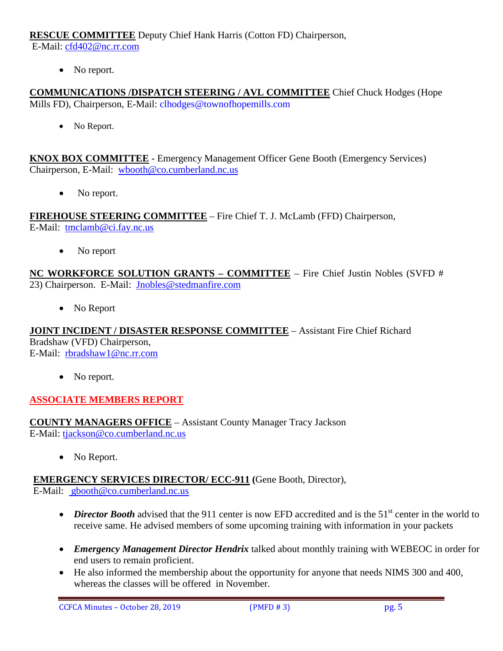**RESCUE COMMITTEE** Deputy Chief Hank Harris (Cotton FD) Chairperson,

E-Mail: [cfd402@nc.rr.com](mailto:cfd402@nc.rr.com)

• No report.

**COMMUNICATIONS /DISPATCH STEERING / AVL COMMITTEE** Chief Chuck Hodges (Hope Mills FD), Chairperson, E-Mail: clhodges@townofhopemills.com

• No Report.

**KNOX BOX COMMITTEE** - Emergency Management Officer Gene Booth (Emergency Services) Chairperson, E-Mail: [wbooth@co.cumberland.nc.us](mailto:wbooth@co.cumberland.nc.us)

• No report.

**FIREHOUSE STEERING COMMITTEE** – Fire Chief T. J. McLamb (FFD) Chairperson, E-Mail: [tmclamb@ci.fay.nc.us](mailto:tmclamb@ci.fay.nc.us)

• No report

**NC WORKFORCE SOLUTION GRANTS – COMMITTEE** – Fire Chief Justin Nobles (SVFD # 23) Chairperson. E-Mail: [Jnobles@stedmanfire.com](mailto:Jnobles@stedmanfire.com)

• No Report

**JOINT INCIDENT / DISASTER RESPONSE COMMITTEE** – Assistant Fire Chief Richard Bradshaw (VFD) Chairperson, E-Mail: [rbradshaw1@nc.rr.com](mailto:rbradshaw1@nc.rr.com)

• No report.

#### **ASSOCIATE MEMBERS REPORT**

**COUNTY MANAGERS OFFICE** – Assistant County Manager Tracy Jackson E-Mail: [tjackson@co.cumberland.nc.us](mailto:tjackson@co.cumberland.nc.us)

• No Report.

**EMERGENCY SERVICES DIRECTOR/ ECC-911 (**Gene Booth, Director), E-Mail: [gbooth@co.cumberland.nc.us](mailto:gbooth@co.cumberland.nc.us)

- *Director Booth* advised that the 911 center is now EFD accredited and is the 51<sup>st</sup> center in the world to receive same. He advised members of some upcoming training with information in your packets
- *Emergency Management Director Hendrix* talked about monthly training with WEBEOC in order for end users to remain proficient.
- He also informed the membership about the opportunity for anyone that needs NIMS 300 and 400, whereas the classes will be offered in November.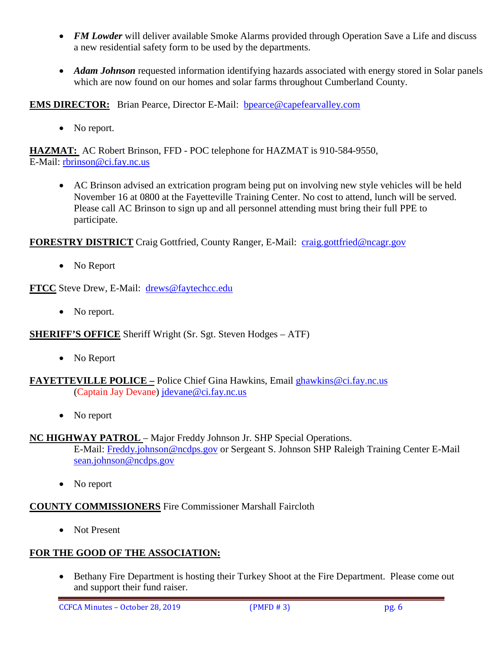- *FM Lowder* will deliver available Smoke Alarms provided through Operation Save a Life and discuss a new residential safety form to be used by the departments.
- *Adam Johnson* requested information identifying hazards associated with energy stored in Solar panels which are now found on our homes and solar farms throughout Cumberland County.

**EMS DIRECTOR:** Brian Pearce, Director E-Mail: bpearce@capefearvalley.com

• No report.

**HAZMAT:** AC Robert Brinson, FFD - POC telephone for HAZMAT is 910-584-9550, E-Mail: [rbrinson@ci.fay.nc.us](mailto:rbrinson@ci.fay.nc.us)

• AC Brinson advised an extrication program being put on involving new style vehicles will be held November 16 at 0800 at the Fayetteville Training Center. No cost to attend, lunch will be served. Please call AC Brinson to sign up and all personnel attending must bring their full PPE to participate.

**FORESTRY DISTRICT** Craig Gottfried, County Ranger, E-Mail: [craig.gottfried@ncagr.gov](mailto:craig.gottfried@ncagr.gov)

• No Report

**FTCC** Steve Drew, E-Mail: [drews@faytechcc.edu](mailto:drews@faytechcc.edu)

• No report.

**SHERIFF'S OFFICE** Sheriff Wright (Sr. Sgt. Steven Hodges – ATF)

• No Report

**FAYETTEVILLE POLICE –** Police Chief Gina Hawkins, Email [ghawkins@ci.fay.nc.us](mailto:ghawkins@ci.fay.nc.us)  (Captain Jay Devane) [jdevane@ci.fay.nc.us](mailto:jdevane@ci.fay.nc.us)

• No report

#### **NC HIGHWAY PATROL** - Major Freddy Johnson Jr. SHP Special Operations.

E-Mail: [Freddy.johnson@ncdps.gov](mailto:Freddy.johnson@ncdps.gov) or Sergeant S. Johnson SHP Raleigh Training Center E-Mail [sean.johnson@ncdps.gov](mailto:sean.johnson@ncdps.gov)

• No report

#### **COUNTY COMMISSIONERS** Fire Commissioner Marshall Faircloth

• Not Present

#### **FOR THE GOOD OF THE ASSOCIATION:**

• Bethany Fire Department is hosting their Turkey Shoot at the Fire Department. Please come out and support their fund raiser.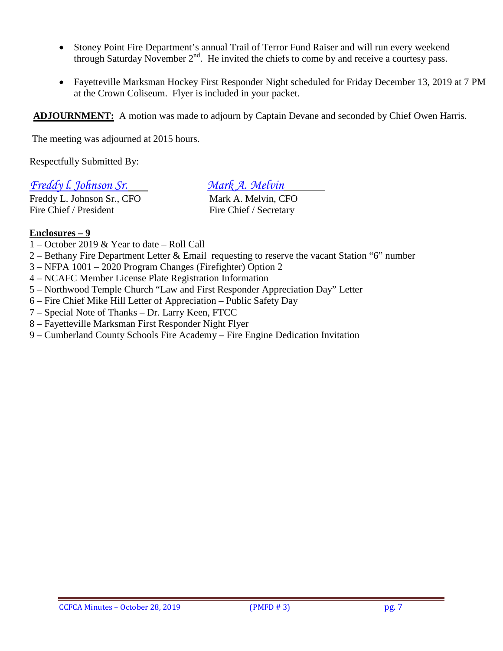- Stoney Point Fire Department's annual Trail of Terror Fund Raiser and will run every weekend through Saturday November  $2<sup>nd</sup>$ . He invited the chiefs to come by and receive a courtesy pass.
- Fayetteville Marksman Hockey First Responder Night scheduled for Friday December 13, 2019 at 7 PM at the Crown Coliseum. Flyer is included in your packet.

**ADJOURNMENT:** A motion was made to adjourn by Captain Devane and seconded by Chief Owen Harris.

The meeting was adjourned at 2015 hours.

Respectfully Submitted By:

#### *Freddy l. Johnson Sr. Mark A. Melvin*

Freddy L. Johnson Sr., CFO Mark A. Melvin, CFO Fire Chief / President Fire Chief / Secretary

#### **Enclosures – 9**

- 1 October 2019 & Year to date Roll Call
- 2 Bethany Fire Department Letter & Email requesting to reserve the vacant Station "6" number
- 3 NFPA 1001 2020 Program Changes (Firefighter) Option 2
- 4 NCAFC Member License Plate Registration Information
- 5 Northwood Temple Church "Law and First Responder Appreciation Day" Letter
- 6 Fire Chief Mike Hill Letter of Appreciation Public Safety Day
- 7 Special Note of Thanks Dr. Larry Keen, FTCC
- 8 Fayetteville Marksman First Responder Night Flyer
- 9 Cumberland County Schools Fire Academy Fire Engine Dedication Invitation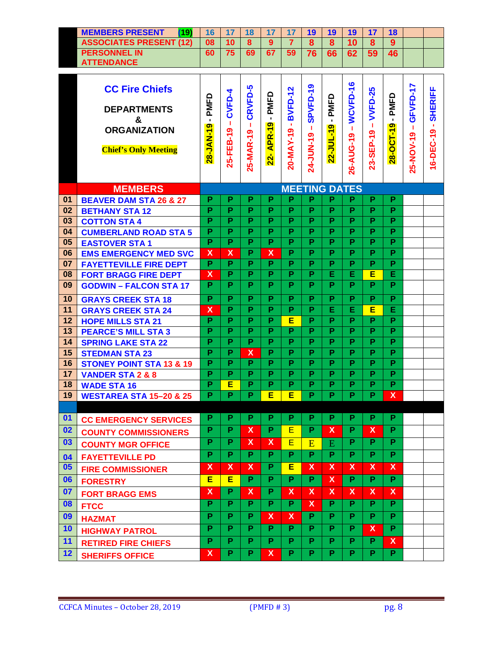| /۹۵۱<br><b>MEMBERS PRESENT</b> | 16 |    | 1 O |    | 19 | 19 | 19 |  |  |
|--------------------------------|----|----|-----|----|----|----|----|--|--|
| <b>ASSOCIATES PRESENT (12)</b> | 08 | 10 | 8   |    | 8  | 8  | 10 |  |  |
| <b>PERSONNEL IN</b>            | 60 |    | 69  | 59 | 76 | 66 | 62 |  |  |
| <b>ATTENDANCE</b>              |    |    |     |    |    |    |    |  |  |

 $\mathbf{\tau}$ 

Ť.

 $\overline{\phantom{a}}$ 

 $\overline{\phantom{a}}$ 

 $\overline{\phantom{a}}$ 

 $\overline{\phantom{a}}$ 

 $\overline{\phantom{a}}$ 

 $\mathbf{\tau}$ 

 $\mathbf{\tau}$ 

 $\overline{\phantom{a}}$ 

|          | <b>CC Fire Chiefs</b><br><b>DEPARTMENTS</b><br>&<br><b>ORGANIZATION</b><br><b>Chief's Only Meeting</b> | PMFD<br>$\blacksquare$<br>28-JAN-19 | CVFD-4<br>т.<br>၈<br>25-FEB-1 | CRVFD-5<br>т.<br>25-MAR-19 | PMFD<br>$\blacksquare$<br>APR-19<br>$22 -$ | <b>BVFD-12</b><br>$\mathbf{r}$<br>20-MAY-19 | SPVFD-19<br>т.<br>24-JUN-19 | PMFD<br>$\blacksquare$<br>$\bullet$<br>22-JUL-1 | WCVFD-16<br>$\mathbf{I}$<br>26-AUG-19 | <b>VVFD-25</b><br>т.<br>23-SEP-19 | -PMFD<br>28-OCT-19 | GFVFD-17<br>л.<br>25-NOV-19 | 16-DEC-19 - SHERIFF |
|----------|--------------------------------------------------------------------------------------------------------|-------------------------------------|-------------------------------|----------------------------|--------------------------------------------|---------------------------------------------|-----------------------------|-------------------------------------------------|---------------------------------------|-----------------------------------|--------------------|-----------------------------|---------------------|
|          | <b>MEMBERS</b>                                                                                         |                                     |                               |                            |                                            |                                             | <b>MEETING DATES</b>        |                                                 |                                       |                                   |                    |                             |                     |
| 01       | <b>BEAVER DAM STA 26 &amp; 27</b>                                                                      | Р                                   | P                             | P                          | P                                          | Р                                           | P                           | P                                               | P                                     | P                                 | P                  |                             |                     |
| 02       | <b>BETHANY STA 12</b>                                                                                  | P                                   | P                             | P                          | P                                          | P                                           | P                           | P                                               | P                                     | P                                 | P                  |                             |                     |
| 03       | <b>COTTON STA 4</b>                                                                                    | P                                   | P<br>P                        | P<br>P                     | P<br>P                                     | P<br>P                                      | P<br>P                      | P<br>P                                          | P<br>P                                | P<br>P                            | P<br>P             |                             |                     |
| 04<br>05 | <b>CUMBERLAND ROAD STA 5</b>                                                                           | Р<br>P                              | P                             | P                          | P                                          | P                                           | P                           | P                                               | P                                     | P                                 | P                  |                             |                     |
| 06       | <b>EASTOVER STA1</b><br><b>EMS EMERGENCY MED SVC</b>                                                   | $\boldsymbol{\mathsf{x}}$           | $\boldsymbol{\mathsf{X}}$     | P                          | $\boldsymbol{\mathsf{x}}$                  | P                                           | P                           | P                                               | P.                                    | P.                                | P                  |                             |                     |
| 07       | <b>FAYETTEVILLE FIRE DEPT</b>                                                                          | P                                   | P                             | P                          | $\overline{P}$                             | P                                           | P                           | P                                               | P                                     | P                                 | P                  |                             |                     |
| 08       | <b>FORT BRAGG FIRE DEPT</b>                                                                            | X                                   | P                             | P                          | P                                          | P                                           | P                           | Е                                               | Е                                     | E                                 | E                  |                             |                     |
| 09       | <b>GODWIN - FALCON STA 17</b>                                                                          | P.                                  | P                             | P                          | P                                          | P                                           | P                           | P                                               | P                                     | P.                                | P.                 |                             |                     |
| 10       | <b>GRAYS CREEK STA 18</b>                                                                              | P                                   | P                             | P                          | P                                          | P                                           | P                           | P                                               | P                                     | P                                 | P                  |                             |                     |
| 11       | <b>GRAYS CREEK STA 24</b>                                                                              | X                                   | P                             | P                          | P                                          | P                                           | P                           | Е                                               | E.                                    | Е                                 | E                  |                             |                     |
| 12       | <b>HOPE MILLS STA 21</b>                                                                               | P                                   | P                             | P                          | P                                          | Е                                           | P                           | P                                               | P                                     | P                                 | P                  |                             |                     |
| 13       | <b>PEARCE'S MILL STA 3</b>                                                                             | P                                   | P                             | P                          | P                                          | P                                           | P                           | P                                               | P                                     | P                                 | P                  |                             |                     |
| 14       | <b>SPRING LAKE STA 22</b>                                                                              | P                                   | P                             | P                          | P                                          | P                                           | P                           | P                                               | P                                     | P                                 | P                  |                             |                     |
| 15       | <b>STEDMAN STA 23</b>                                                                                  | P                                   | P                             | $\overline{\mathsf{x}}$    | P                                          | P                                           | P                           | P                                               | P                                     | P                                 | P                  |                             |                     |
| 16       | <b>STONEY POINT STA 13 &amp; 19</b>                                                                    | P                                   | P                             | P                          | P                                          | P                                           | P                           | P                                               | P                                     | P                                 | P                  |                             |                     |
| 17       | <b>VANDER STA 2 &amp; 8</b>                                                                            | P                                   | P                             | P                          | P                                          | P                                           | P                           | P<br>P                                          | P                                     | P                                 | P                  |                             |                     |
| 18       | <b>WADE STA 16</b>                                                                                     | P<br>P                              | Ε<br>P                        | P<br>P                     | P<br>E                                     | P<br>E                                      | P<br>P                      | P                                               | P<br>P                                | P<br>P                            | P<br>$\mathsf{X}$  |                             |                     |
| 19       | <b>WESTAREA STA 15-20 &amp; 25</b>                                                                     |                                     |                               |                            |                                            |                                             |                             |                                                 |                                       |                                   |                    |                             |                     |
| 01       |                                                                                                        | P                                   | P                             | P                          | P                                          | P                                           | P.                          | Р.                                              | Р.                                    | Р.                                | P                  |                             |                     |
| 02       | <b>CC EMERGENCY SERVICES</b>                                                                           | P                                   | P                             | $\mathsf{x}$               | P.                                         | E                                           | P.                          | $\overline{\mathsf{x}}$                         | P                                     | $\mathbf x$                       | P.                 |                             |                     |
| 03       | <b>COUNTY COMMISSIONERS</b>                                                                            | P                                   | P                             | $\overline{\mathsf{x}}$    | $\overline{\mathsf{x}}$                    | E                                           | E                           | E                                               | P                                     | P.                                | P                  |                             |                     |
| 04       | <b>COUNTY MGR OFFICE</b><br><b>FAYETTEVILLE PD</b>                                                     | P                                   | P                             | P.                         | P.                                         | P                                           | P.                          | P.                                              | P.                                    | P.                                | P.                 |                             |                     |
| 05       | <b>FIRE COMMISSIONER</b>                                                                               | $\mathsf{x}$                        | X                             | X                          | P.                                         | Е                                           | $\mathsf{X}$                | $\mathsf{X}$                                    | $\mathsf{X}$                          | $\mathsf{X}$                      | $\mathsf{X}$       |                             |                     |
| 06       | <b>FORESTRY</b>                                                                                        | E.                                  | E                             | $\overline{P}$             | P.                                         | P.                                          | P.                          | $\mathsf{X}$                                    | P.                                    | P.                                | $\overline{P}$     |                             |                     |
| 07       | <b>FORT BRAGG EMS</b>                                                                                  | $\mathsf{x}$                        | P.                            | $\mathsf{X}$               | P.                                         | X.                                          | $\mathsf{X}$                | $\mathsf{X}$                                    | $\mathsf{X}$                          | $\mathsf{X}$                      | $\mathsf{X}$       |                             |                     |
| 08       | <b>FTCC</b>                                                                                            | $\overline{P}$                      | P                             | P.                         | P.                                         | P.                                          | $\mathsf{X}$                | $\overline{P}$                                  | $\overline{P}$                        | P.                                | $\overline{P}$     |                             |                     |
| 09       | <b>HAZMAT</b>                                                                                          | P                                   | P.                            | P.                         | X.                                         | X                                           | P.                          | P.                                              | P.                                    | P.                                | $\overline{P}$     |                             |                     |
| 10       | <b>HIGHWAY PATROL</b>                                                                                  | P                                   | P                             | P                          | P.                                         | P.                                          | P                           | P.                                              | P.                                    | $\mathbf{X}$                      | $\overline{P}$     |                             |                     |
| 11       | <b>RETIRED FIRE CHIEFS</b>                                                                             | P.                                  | P.                            | P.                         | P.                                         | P.                                          | P.                          | P.                                              | P.                                    | P.                                | $\mathsf{x}$       |                             |                     |
| 12       | <b>SHERIFFS OFFICE</b>                                                                                 | $\mathsf{x}$                        | P.                            | P.                         | $\mathbf{x}$                               | P.                                          | P.                          | P.                                              | P.                                    | P.                                | $\overline{P}$     |                             |                     |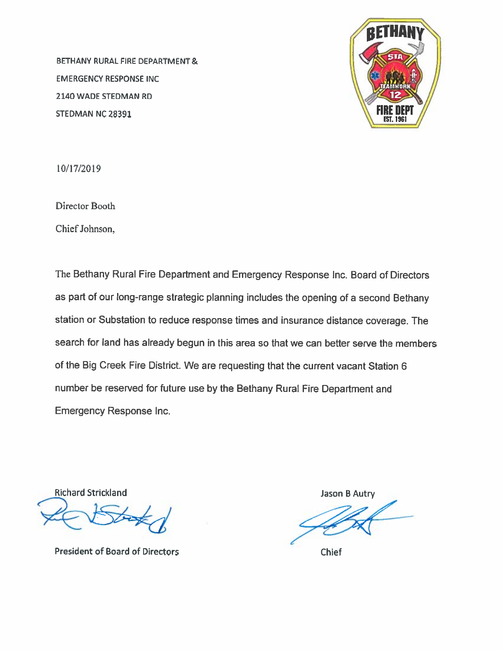BETHANY RURAL FIRE DEPARTMENT & **EMERGENCY RESPONSE INC.** 2140 WADE STEDMAN RD STEDMAN NC 28391



10/17/2019

Director Booth

Chief Johnson,

The Bethany Rural Fire Department and Emergency Response Inc. Board of Directors as part of our long-range strategic planning includes the opening of a second Bethany station or Substation to reduce response times and insurance distance coverage. The search for land has already begun in this area so that we can better serve the members of the Big Creek Fire District. We are requesting that the current vacant Station 6 number be reserved for future use by the Bethany Rural Fire Department and **Emergency Response Inc.** 

**Richard Strickland** 

**President of Board of Directors** 

Jason B Autry

**Chief**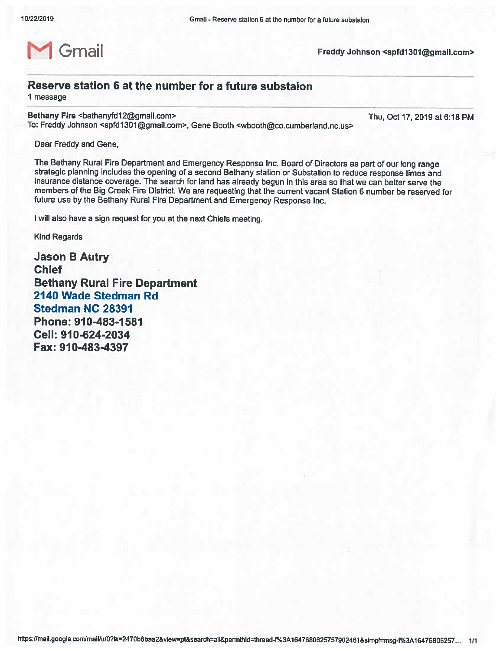

Freddy Johnson <spfd1301@gmail.com>

#### Reserve station 6 at the number for a future substaion

1 message

Bethany Fire <bethanyfd12@gmail.com>

To: Freddy Johnson <spfd1301@gmail.com>, Gene Booth <wbooth@co.cumberland.nc.us>

Thu, Oct 17, 2019 at 6:18 PM

Dear Freddy and Gene,

The Bethany Rural Fire Department and Emergency Response Inc. Board of Directors as part of our long range strategic planning includes the opening of a second Bethany station or Substation to reduce response times and insurance distance coverage. The search for land has already begun in this area so that we can better serve the members of the Big Creek Fire District. We are requesting that the current vacant Station 6 number be reserved for future use by the Bethany Rural Fire Department and Emergency Response Inc.

I will also have a sign request for you at the next Chiefs meeting.

**Kind Regards** 

**Jason B Autry Chief Bethany Rural Fire Department** 2140 Wade Stedman Rd **Stedman NC 28391** Phone: 910-483-1581 Cell: 910-624-2034 Fax: 910-483-4397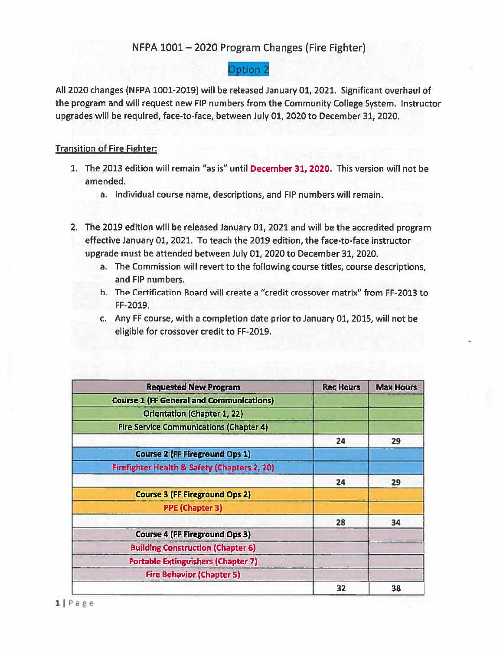#### NFPA 1001 - 2020 Program Changes (Fire Fighter)

#### **Option 2**

All 2020 changes (NFPA 1001-2019) will be released January 01, 2021. Significant overhaul of the program and will request new FIP numbers from the Community College System. Instructor upgrades will be required, face-to-face, between July 01, 2020 to December 31, 2020.

#### **Transition of Fire Fighter:**

- 1. The 2013 edition will remain "as is" until December 31, 2020. This version will not be amended.
	- a. Individual course name, descriptions, and FIP numbers will remain.
- 2. The 2019 edition will be released January 01, 2021 and will be the accredited program effective January 01, 2021. To teach the 2019 edition, the face-to-face instructor upgrade must be attended between July 01, 2020 to December 31, 2020.
	- a. The Commission will revert to the following course titles, course descriptions, and FIP numbers.
	- b. The Certification Board will create a "credit crossover matrix" from FF-2013 to FF-2019.
	- c. Any FF course, with a completion date prior to January 01, 2015, will not be eligible for crossover credit to FF-2019.

| <b>Requested New Program</b>                    | <b>Rec Hours</b> | <b>Max Hours</b> |
|-------------------------------------------------|------------------|------------------|
| <b>Course 1 (FF General and Communications)</b> |                  |                  |
| <b>Orientation (Ghapter 1, 22)</b>              |                  |                  |
| <b>Fire Service Communications (Chapter 4)</b>  |                  |                  |
|                                                 | 24               | 29               |
| <b>Course 2 (FF Fireground Ops 1)</b>           |                  |                  |
| Firefighter Health & Safety (Chapters 2, 20)    |                  |                  |
|                                                 | 24               | 29               |
| <b>Course 3 (FF Fireground Ops 2)</b>           |                  |                  |
| <b>PPE (Chapter 3)</b>                          |                  |                  |
|                                                 | 28               | 34               |
| <b>Course 4 (FF Fireground Ops 3)</b>           |                  |                  |
| <b>Building Construction (Chapter 6)</b>        |                  |                  |
| <b>Portable Extinguishers (Chapter 7)</b>       |                  |                  |
| <b>Fire Behavior (Chapter 5)</b>                |                  |                  |
|                                                 | 32               | 38               |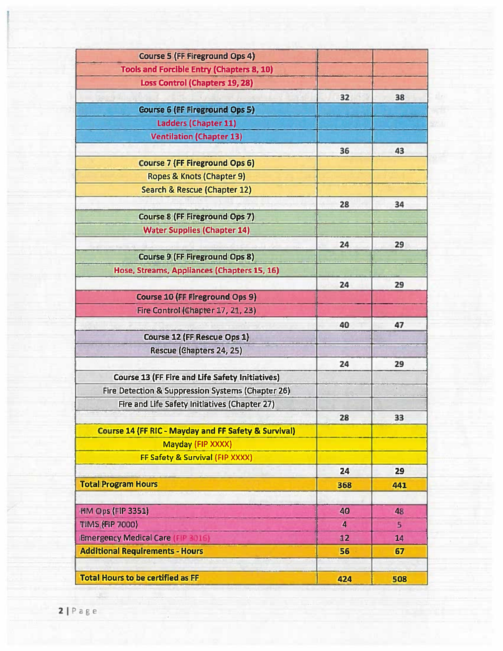| <b>Course 5 (FF Fireground Ops 4)</b>                           |     |            |
|-----------------------------------------------------------------|-----|------------|
| <b>Tools and Forcible Entry (Chapters 8, 10)</b>                |     |            |
| <b>Loss Control (Chapters 19, 28)</b>                           |     |            |
|                                                                 | 32  | 38         |
| <b>Course 6 (FF Fireground Ops 5)</b>                           |     |            |
| Ladders (Chapter 11)                                            |     |            |
| <b>Ventilation (Chapter 13)</b>                                 |     |            |
|                                                                 | 36  | 43         |
| <b>Course 7 (FF Fireground Ops 6)</b>                           |     |            |
| Ropes & Knots (Chapter 9)                                       |     |            |
| <b>Search &amp; Rescue (Chapter 12)</b>                         |     |            |
|                                                                 | 28  | 34         |
| <b>Course 8 (FF Fireground Ops 7)</b>                           |     |            |
| <b>Water Supplies (Chapter 14)</b>                              |     |            |
|                                                                 | 24  | 29         |
| <b>Course 9 (FF Fireground Ops 8)</b>                           |     |            |
| Hose, Streams, Appliances (Chapters 15, 16)                     |     |            |
|                                                                 | 24  | 29         |
| <b>Course 10 (FF Fireground Ops 9)</b>                          |     |            |
| Fire Control (Chapter 17, 21, 23)                               |     |            |
|                                                                 | 40  | 47         |
| Course 12 (FF Rescue Ops 1)                                     |     |            |
| Rescue (Chapters 24, 25)                                        |     |            |
|                                                                 | 24  | 29         |
| <b>Course 13 (FF Fire and Life Safety Initiatives)</b>          |     |            |
| Fire Detection & Suppression Systems (Chapter 26)               |     | $\epsilon$ |
| Fire and Life Safety Initiatives (Chapter 27)                   |     |            |
|                                                                 | 28  | 33         |
| <b>Course 14 (FF RIC - Mayday and FF Safety &amp; Survival)</b> |     |            |
| Mayday (FIP XXXX)                                               |     |            |
| FF Safety & Survival (FIP XXXX)                                 |     |            |
|                                                                 | 24  | 29         |
| <b>Total Program Hours</b>                                      | 368 | 441        |
|                                                                 |     |            |
| <b>HM Ops (FIP 3351)</b>                                        | 40  | 48         |
| <b>TIMS (FIP 7000)</b>                                          | 4   | 5          |
| <b>Emergency Medical Care (FIP 3016)</b>                        | 12  | 14         |
| <b>Additional Requirements - Hours</b>                          | 56  | 67         |
|                                                                 |     |            |
| <b>Total Hours to be certified as FF</b>                        | 424 | 508        |

a,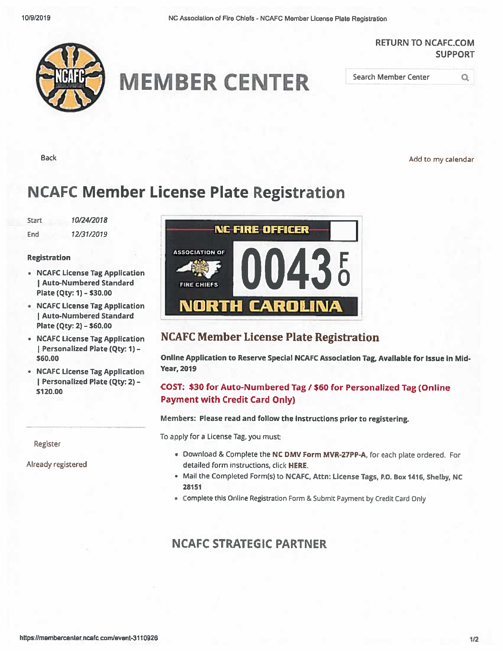NC Association of Fire Chiefs - NCAFC Member License Plate Registration

#### **RETURN TO NCAFC.COM SUPPORT**



## **MEMBER CENTER**

Search Member Center

**Back** 

Add to my calendar

Q

## **NCAFC Member License Plate Registration**

**Start** 10/24/2018 12/31/2019 End

#### **Registration**

- NCAFC License Tag Application | Auto-Numbered Standard Plate (Qty: 1) - \$30.00
- NCAFC License Tag Application | Auto-Numbered Standard Plate (Qty: 2) - \$60.00
- NCAFC License Tag Application | Personalized Plate (Qty: 1) -\$60.00
- NCAFC License Tag Application Personalized Plate (Qty: 2) -\$120.00

Register

Already registered



#### **NCAFC Member License Plate Registration**

Online Application to Reserve Special NCAFC Association Tag, Available for Issue in Mid-**Year, 2019** 

#### COST: \$30 for Auto-Numbered Tag / \$60 for Personalized Tag (Online **Payment with Credit Card Only)**

#### Members: Please read and follow the instructions prior to registering.

To apply for a License Tag, you must:

- . Download & Complete the NC DMV Form MVR-27PP-A, for each plate ordered. For detailed form instructions, click HERE.
- Mail the Completed Form(s) to NCAFC, Attn: License Tags, P.O. Box 1416, Shelby, NC 28151
- . Complete this Online Registration Form & Submit Payment by Credit Card Only

#### **NCAFC STRATEGIC PARTNER**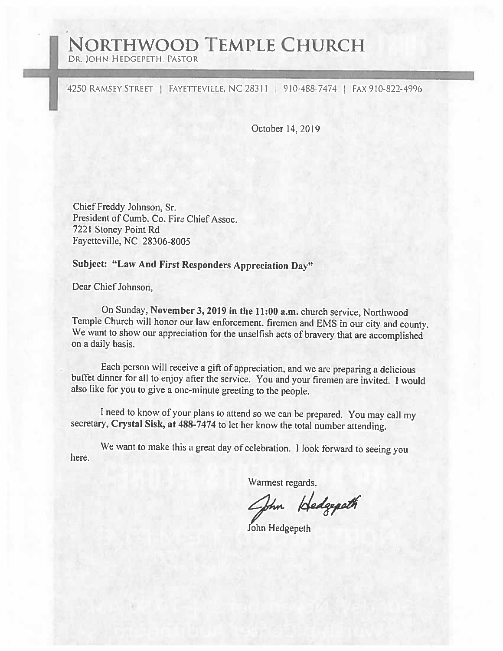## **NORTHWOOD TEMPLE CHURCH**

DR. JOHN HEDGEPETH, PASTOR

4250 RAMSEY STREET | FAYETTEVILLE, NC 28311 | 910-488-7474 | FAX 910-822-4996

October 14, 2019

Chief Freddy Johnson, Sr. President of Cumb. Co. Fire Chief Assoc. 7221 Stoney Point Rd Fayetteville, NC 28306-8005

### **Subject: "Law And First Responders Appreciation Day"**

Dear Chief Johnson.

On Sunday, November 3, 2019 in the 11:00 a.m. church service, Northwood Temple Church will honor our law enforcement, firemen and EMS in our city and county. We want to show our appreciation for the unselfish acts of bravery that are accomplished on a daily basis.

Each person will receive a gift of appreciation, and we are preparing a delicious buffet dinner for all to enjoy after the service. You and your firemen are invited. I would also like for you to give a one-minute greeting to the people.

I need to know of your plans to attend so we can be prepared. You may call my secretary, Crystal Sisk, at 488-7474 to let her know the total number attending.

We want to make this a great day of celebration. I look forward to seeing you here.

Warmest regards,

John Hedgepath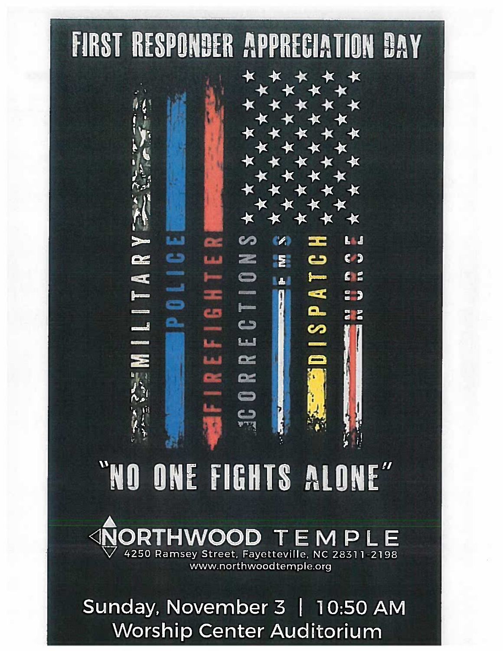## **FIRST RESPONDER APPRECIATION DAY**

فنقنا

MILITAR

œ

SNOILDSIANS

**LL** 

 $\epsilon$ 

E S

 $E$ 

**2 P** 

**SPATC** 

**FEE** 

**KAA** 

# "NO ONE FIGHTS ALONE"

ය

 $rac{\infty}{\infty}$ 

### HWOOD TEMPLE 4250 Ramsey Street, Fayetteville, NC 28311-2198

www.northwoodtemple.org

Sunday, November 3 | 10:50 AM **Worship Center Auditorium**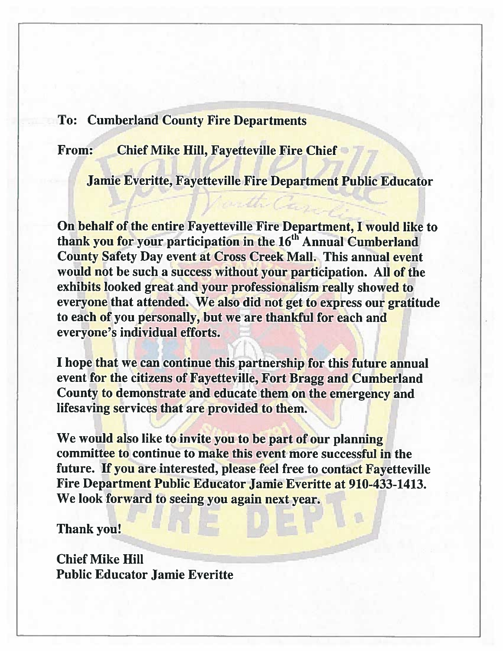#### **To: Cumberland County Fire Departments**

**Chief Mike Hill, Fayetteville Fire Chief** From:

**Jamie Everitte, Fayetteville Fire Department Public Educator** 

unth Car

On behalf of the entire Fayetteville Fire Department, I would like to thank you for your participation in the 16<sup>th</sup> Annual Cumberland **County Safety Day event at Cross Creek Mall. This annual event** would not be such a success without your participation. All of the exhibits looked great and your professionalism really showed to everyone that attended. We also did not get to express our gratitude to each of you personally, but we are thankful for each and everyone's individual efforts.

I hope that we can continue this partnership for this future annual event for the citizens of Fayetteville, Fort Bragg and Cumberland County to demonstrate and educate them on the emergency and lifesaving services that are provided to them.

We would also like to invite you to be part of our planning committee to continue to make this event more successful in the future. If you are interested, please feel free to contact Fayetteville Fire Department Public Educator Jamie Everitte at 910-433-1413. We look forward to seeing you again next year.

**Thank you!** 

**Chief Mike Hill Public Educator Jamie Everitte**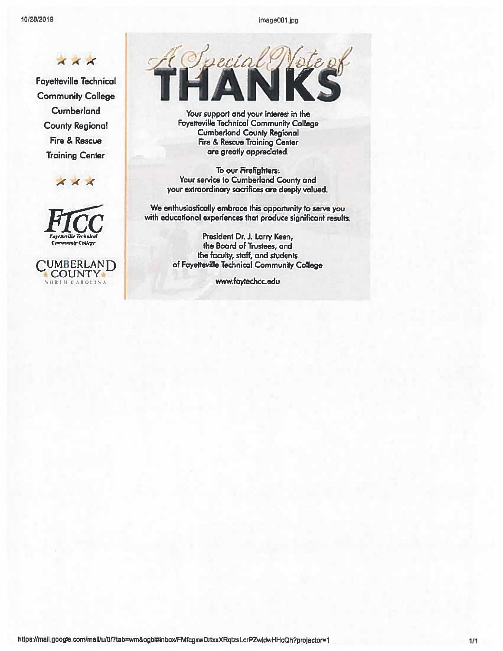image001.jpg

 $\overline{A}$   $\overline{A}$   $\overline{A}$ 

**Fayetteville Technical Community College Cumberland County Regional** Fire & Rescue **Training Center** 





UMBERLAND **COUNTY** ORTH CAROLINA



Your support and your interest in the **Fayetteville Technical Community College Cumberland County Regional** Fire & Rescue Training Center are greatly appreciated.

To our Firefighters: Your service to Cumberland County and your extraordinary sacrifices are deeply valued.

We enthusiastically embrace this opportunity to serve you with educational experiences that produce significant results.

> President Dr. J. Larry Keen, the Board of Trustees, and the faculty, staff, and students of Fayetteville Technical Community College

> > www.faytechcc.edu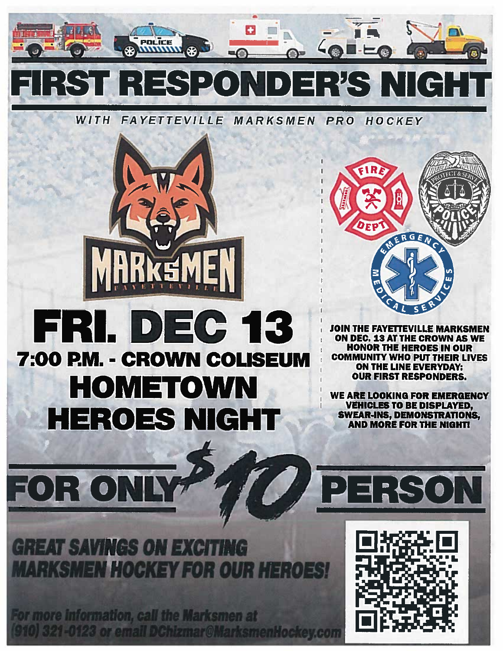

WITH FAYETTEVILLE MARKSMEN PRO HOCKEY



## FRI.  $D = C$  13 7:00 P.M. - CROWN COLISEUM **HOMETOWN** HEROES NICHT



**JOIN THE FAYETTEVILLE MARKSMEN ON DEC. 13 AT THE CROWN AS WE HONOR THE HEROES IN OUR COMMUNITY WHO PUT THEIR LIVES ON THE LINE EVERYDAY: OUR FIRST RESPONDERS.** 

WE ARE LOOKING FOR EMERGENCY **VEHICLES TO BE DISPLAYED, SWEAR-INS, DEMONSTRATIONS, AND MORE FOR THE NIGHT!** 

**GREAT SAVINGS ON EXCITING MARKSMEN HOGKEY FOR OUR HE** 

R ON

FO

W

**ODE** 

For more information, call the Marksmen at 0) 321-0123 or email DChizmar@MarksmenHockey.com